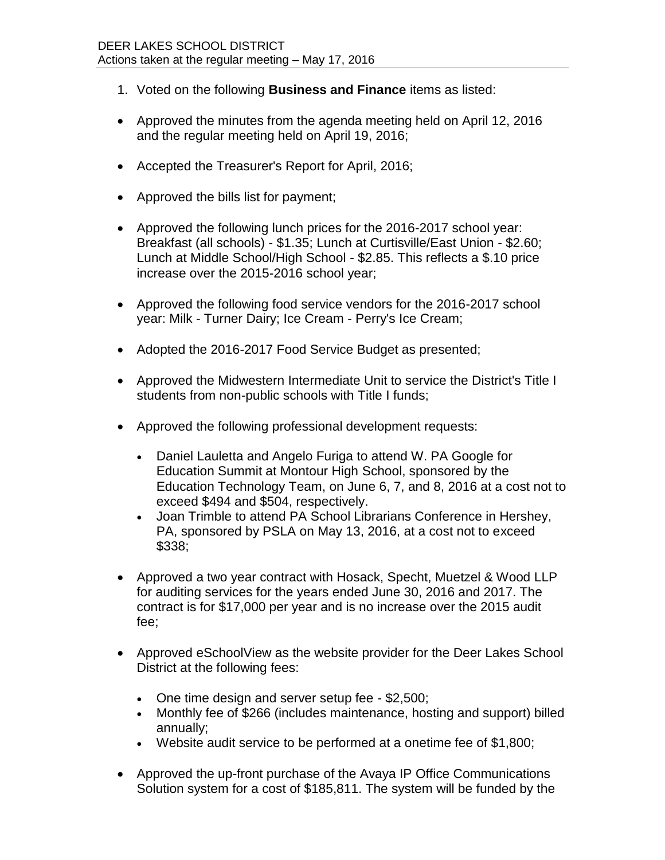- 1. Voted on the following **Business and Finance** items as listed:
- Approved the minutes from the agenda meeting held on April 12, 2016 and the regular meeting held on April 19, 2016;
- Accepted the Treasurer's Report for April, 2016;
- Approved the bills list for payment;
- Approved the following lunch prices for the 2016-2017 school year: Breakfast (all schools) - \$1.35; Lunch at Curtisville/East Union - \$2.60; Lunch at Middle School/High School - \$2.85. This reflects a \$.10 price increase over the 2015-2016 school year;
- Approved the following food service vendors for the 2016-2017 school year: Milk - Turner Dairy; Ice Cream - Perry's Ice Cream;
- Adopted the 2016-2017 Food Service Budget as presented;
- Approved the Midwestern Intermediate Unit to service the District's Title I students from non-public schools with Title I funds;
- Approved the following professional development requests:
	- Daniel Lauletta and Angelo Furiga to attend W. PA Google for Education Summit at Montour High School, sponsored by the Education Technology Team, on June 6, 7, and 8, 2016 at a cost not to exceed \$494 and \$504, respectively.
	- Joan Trimble to attend PA School Librarians Conference in Hershey, PA, sponsored by PSLA on May 13, 2016, at a cost not to exceed \$338;
- Approved a two year contract with Hosack, Specht, Muetzel & Wood LLP for auditing services for the years ended June 30, 2016 and 2017. The contract is for \$17,000 per year and is no increase over the 2015 audit fee;
- Approved eSchoolView as the website provider for the Deer Lakes School District at the following fees:
	- One time design and server setup fee \$2,500;
	- Monthly fee of \$266 (includes maintenance, hosting and support) billed annually;
	- Website audit service to be performed at a onetime fee of \$1,800;
- Approved the up-front purchase of the Avaya IP Office Communications Solution system for a cost of \$185,811. The system will be funded by the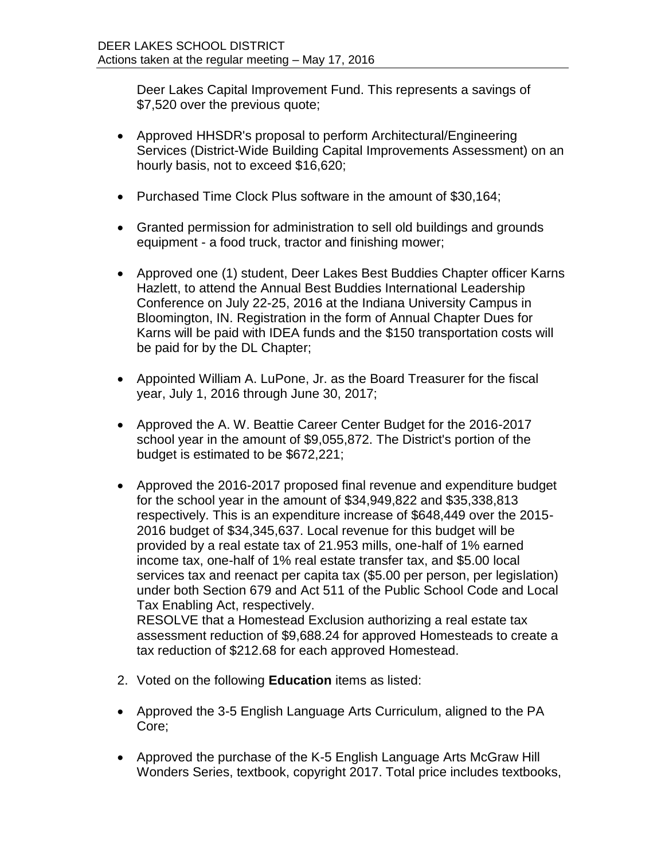Deer Lakes Capital Improvement Fund. This represents a savings of \$7,520 over the previous quote;

- Approved HHSDR's proposal to perform Architectural/Engineering Services (District-Wide Building Capital Improvements Assessment) on an hourly basis, not to exceed \$16,620;
- Purchased Time Clock Plus software in the amount of \$30,164;
- Granted permission for administration to sell old buildings and grounds equipment - a food truck, tractor and finishing mower;
- Approved one (1) student, Deer Lakes Best Buddies Chapter officer Karns Hazlett, to attend the Annual Best Buddies International Leadership Conference on July 22-25, 2016 at the Indiana University Campus in Bloomington, IN. Registration in the form of Annual Chapter Dues for Karns will be paid with IDEA funds and the \$150 transportation costs will be paid for by the DL Chapter;
- Appointed William A. LuPone, Jr. as the Board Treasurer for the fiscal year, July 1, 2016 through June 30, 2017;
- Approved the A. W. Beattie Career Center Budget for the 2016-2017 school year in the amount of \$9,055,872. The District's portion of the budget is estimated to be \$672,221;
- Approved the 2016-2017 proposed final revenue and expenditure budget for the school year in the amount of \$34,949,822 and \$35,338,813 respectively. This is an expenditure increase of \$648,449 over the 2015- 2016 budget of \$34,345,637. Local revenue for this budget will be provided by a real estate tax of 21.953 mills, one-half of 1% earned income tax, one-half of 1% real estate transfer tax, and \$5.00 local services tax and reenact per capita tax (\$5.00 per person, per legislation) under both Section 679 and Act 511 of the Public School Code and Local Tax Enabling Act, respectively. RESOLVE that a Homestead Exclusion authorizing a real estate tax

assessment reduction of \$9,688.24 for approved Homesteads to create a tax reduction of \$212.68 for each approved Homestead.

- 2. Voted on the following **Education** items as listed:
- Approved the 3-5 English Language Arts Curriculum, aligned to the PA Core;
- Approved the purchase of the K-5 English Language Arts McGraw Hill Wonders Series, textbook, copyright 2017. Total price includes textbooks,